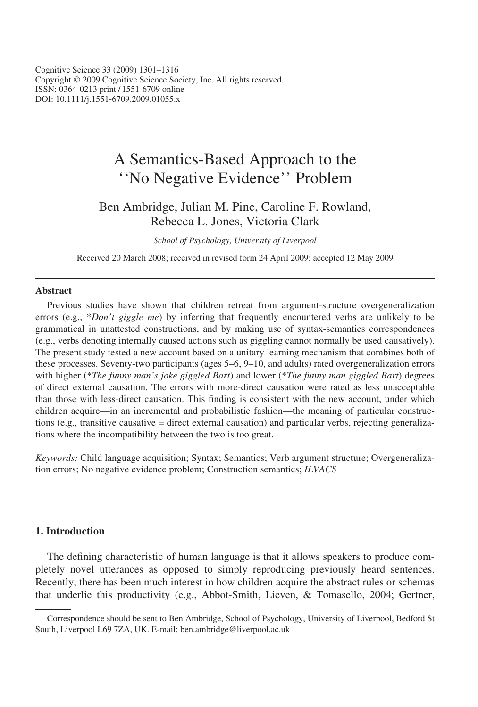Cognitive Science 33 (2009) 1301–1316 Copyright © 2009 Cognitive Science Society, Inc. All rights reserved. ISSN: 0364-0213 print / 1551-6709 online DOI: 10.1111/j.1551-6709.2009.01055.x

# A Semantics-Based Approach to the ''No Negative Evidence'' Problem

# Ben Ambridge, Julian M. Pine, Caroline F. Rowland, Rebecca L. Jones, Victoria Clark

School of Psychology, University of Liverpool

Received 20 March 2008; received in revised form 24 April 2009; accepted 12 May 2009

# Abstract

Previous studies have shown that children retreat from argument-structure overgeneralization errors (e.g., \*Don't giggle me) by inferring that frequently encountered verbs are unlikely to be grammatical in unattested constructions, and by making use of syntax-semantics correspondences (e.g., verbs denoting internally caused actions such as giggling cannot normally be used causatively). The present study tested a new account based on a unitary learning mechanism that combines both of these processes. Seventy-two participants (ages 5–6, 9–10, and adults) rated overgeneralization errors with higher (\*The funny man's joke giggled Bart) and lower (\*The funny man giggled Bart) degrees of direct external causation. The errors with more-direct causation were rated as less unacceptable than those with less-direct causation. This finding is consistent with the new account, under which children acquire—in an incremental and probabilistic fashion—the meaning of particular constructions (e.g., transitive causative = direct external causation) and particular verbs, rejecting generalizations where the incompatibility between the two is too great.

Keywords: Child language acquisition; Syntax; Semantics; Verb argument structure; Overgeneralization errors; No negative evidence problem; Construction semantics; ILVACS

# 1. Introduction

The defining characteristic of human language is that it allows speakers to produce completely novel utterances as opposed to simply reproducing previously heard sentences. Recently, there has been much interest in how children acquire the abstract rules or schemas that underlie this productivity (e.g., Abbot-Smith, Lieven, & Tomasello, 2004; Gertner,

Correspondence should be sent to Ben Ambridge, School of Psychology, University of Liverpool, Bedford St South, Liverpool L69 7ZA, UK. E-mail: ben.ambridge@liverpool.ac.uk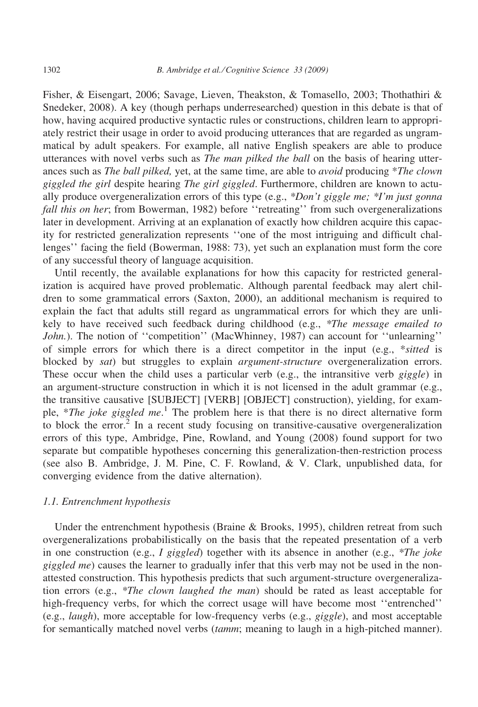Fisher, & Eisengart, 2006; Savage, Lieven, Theakston, & Tomasello, 2003; Thothathiri & Snedeker, 2008). A key (though perhaps underresearched) question in this debate is that of how, having acquired productive syntactic rules or constructions, children learn to appropriately restrict their usage in order to avoid producing utterances that are regarded as ungrammatical by adult speakers. For example, all native English speakers are able to produce utterances with novel verbs such as *The man pilked the ball* on the basis of hearing utterances such as *The ball pilked*, yet, at the same time, are able to *avoid* producing \**The clown* giggled the girl despite hearing The girl giggled. Furthermore, children are known to actually produce overgeneralization errors of this type (e.g.,  $*Don't giggle me; *I'm just gonna$ fall this on her; from Bowerman, 1982) before "retreating" from such overgeneralizations later in development. Arriving at an explanation of exactly how children acquire this capacity for restricted generalization represents ''one of the most intriguing and difficult challenges'' facing the field (Bowerman, 1988: 73), yet such an explanation must form the core of any successful theory of language acquisition.

Until recently, the available explanations for how this capacity for restricted generalization is acquired have proved problematic. Although parental feedback may alert children to some grammatical errors (Saxton, 2000), an additional mechanism is required to explain the fact that adults still regard as ungrammatical errors for which they are unlikely to have received such feedback during childhood (e.g.,  $*The message emailed to$ John.). The notion of "competition" (MacWhinney, 1987) can account for "unlearning" of simple errors for which there is a direct competitor in the input (e.g.,  $*sitted$  is blocked by *sat*) but struggles to explain *argument-structure* overgeneralization errors. These occur when the child uses a particular verb (e.g., the intransitive verb  $giggle)$  in an argument-structure construction in which it is not licensed in the adult grammar (e.g., the transitive causative [SUBJECT] [VERB] [OBJECT] construction), yielding, for example, *\*The joke giggled me.*<sup>1</sup> The problem here is that there is no direct alternative form to block the error.<sup>2</sup> In a recent study focusing on transitive-causative overgeneralization errors of this type, Ambridge, Pine, Rowland, and Young (2008) found support for two separate but compatible hypotheses concerning this generalization-then-restriction process (see also B. Ambridge, J. M. Pine, C. F. Rowland, & V. Clark, unpublished data, for converging evidence from the dative alternation).

# 1.1. Entrenchment hypothesis

Under the entrenchment hypothesis (Braine & Brooks, 1995), children retreat from such overgeneralizations probabilistically on the basis that the repeated presentation of a verb in one construction (e.g., I giggled) together with its absence in another (e.g., \*The joke giggled  $me$ ) causes the learner to gradually infer that this verb may not be used in the nonattested construction. This hypothesis predicts that such argument-structure overgeneralization errors (e.g., \*The clown laughed the man) should be rated as least acceptable for high-frequency verbs, for which the correct usage will have become most ''entrenched'' (e.g., laugh), more acceptable for low-frequency verbs (e.g., giggle), and most acceptable for semantically matched novel verbs *(tamm*; meaning to laugh in a high-pitched manner).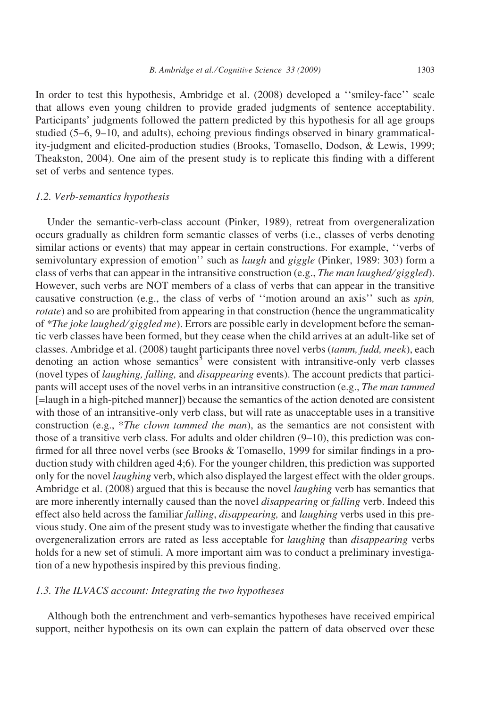In order to test this hypothesis, Ambridge et al. (2008) developed a ''smiley-face'' scale that allows even young children to provide graded judgments of sentence acceptability. Participants' judgments followed the pattern predicted by this hypothesis for all age groups studied (5–6, 9–10, and adults), echoing previous findings observed in binary grammaticality-judgment and elicited-production studies (Brooks, Tomasello, Dodson, & Lewis, 1999; Theakston, 2004). One aim of the present study is to replicate this finding with a different set of verbs and sentence types.

# 1.2. Verb-semantics hypothesis

Under the semantic-verb-class account (Pinker, 1989), retreat from overgeneralization occurs gradually as children form semantic classes of verbs (i.e., classes of verbs denoting similar actions or events) that may appear in certain constructions. For example, ''verbs of semivoluntary expression of emotion'' such as *laugh* and *giggle* (Pinker, 1989: 303) form a class of verbs that can appear in the intransitive construction (e.g., The man laughed/giggled). However, such verbs are NOT members of a class of verbs that can appear in the transitive causative construction (e.g., the class of verbs of ''motion around an axis'' such as spin, rotate) and so are prohibited from appearing in that construction (hence the ungrammaticality of \*The joke laughed/giggled me). Errors are possible early in development before the semantic verb classes have been formed, but they cease when the child arrives at an adult-like set of classes. Ambridge et al. (2008) taught participants three novel verbs (tamm, fudd, meek), each denoting an action whose semantics<sup>3</sup> were consistent with intransitive-only verb classes (novel types of laughing, falling, and disappearing events). The account predicts that participants will accept uses of the novel verbs in an intransitive construction (e.g., The man tammed [=laugh in a high-pitched manner]) because the semantics of the action denoted are consistent with those of an intransitive-only verb class, but will rate as unacceptable uses in a transitive construction (e.g.,  $*The$  *clown tammed the man*), as the semantics are not consistent with those of a transitive verb class. For adults and older children (9–10), this prediction was confirmed for all three novel verbs (see Brooks & Tomasello, 1999 for similar findings in a production study with children aged 4;6). For the younger children, this prediction was supported only for the novel laughing verb, which also displayed the largest effect with the older groups. Ambridge et al. (2008) argued that this is because the novel laughing verb has semantics that are more inherently internally caused than the novel *disappearing* or *falling* verb. Indeed this effect also held across the familiar *falling, disappearing, and laughing verbs used in this pre*vious study. One aim of the present study was to investigate whether the finding that causative overgeneralization errors are rated as less acceptable for laughing than disappearing verbs holds for a new set of stimuli. A more important aim was to conduct a preliminary investigation of a new hypothesis inspired by this previous finding.

# 1.3. The ILVACS account: Integrating the two hypotheses

Although both the entrenchment and verb-semantics hypotheses have received empirical support, neither hypothesis on its own can explain the pattern of data observed over these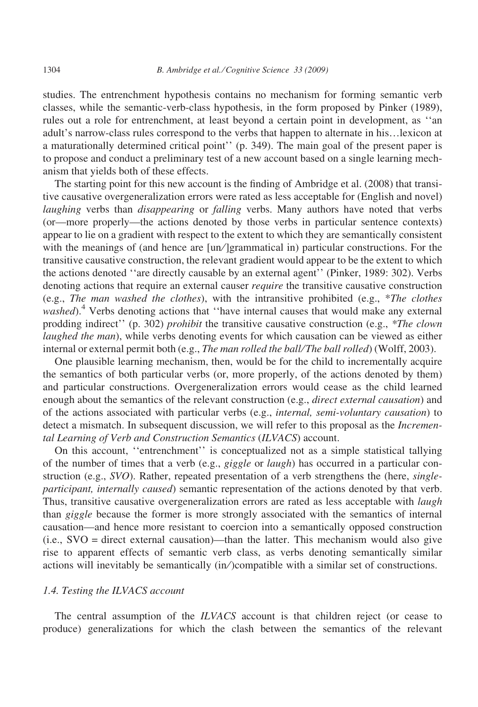studies. The entrenchment hypothesis contains no mechanism for forming semantic verb classes, while the semantic-verb-class hypothesis, in the form proposed by Pinker (1989), rules out a role for entrenchment, at least beyond a certain point in development, as ''an adult's narrow-class rules correspond to the verbs that happen to alternate in his…lexicon at a maturationally determined critical point'' (p. 349). The main goal of the present paper is to propose and conduct a preliminary test of a new account based on a single learning mechanism that yields both of these effects.

The starting point for this new account is the finding of Ambridge et al. (2008) that transitive causative overgeneralization errors were rated as less acceptable for (English and novel) laughing verbs than *disappearing* or *falling* verbs. Many authors have noted that verbs (or—more properly—the actions denoted by those verbs in particular sentence contexts) appear to lie on a gradient with respect to the extent to which they are semantically consistent with the meanings of (and hence are  $\frac{[un]}{gramm}$  maticular constructions. For the transitive causative construction, the relevant gradient would appear to be the extent to which the actions denoted ''are directly causable by an external agent'' (Pinker, 1989: 302). Verbs denoting actions that require an external causer *require* the transitive causative construction (e.g., The man washed the clothes), with the intransitive prohibited (e.g.,  $*The$  clothes *washed*).<sup>4</sup> Verbs denoting actions that "have internal causes that would make any external prodding indirect'' (p. 302) *prohibit* the transitive causative construction (e.g.,  $*The$  *clown laughed the man*), while verbs denoting events for which causation can be viewed as either internal or external permit both (e.g., The man rolled the ball/The ball rolled) (Wolff, 2003).

One plausible learning mechanism, then, would be for the child to incrementally acquire the semantics of both particular verbs (or, more properly, of the actions denoted by them) and particular constructions. Overgeneralization errors would cease as the child learned enough about the semantics of the relevant construction (e.g., *direct external causation*) and of the actions associated with particular verbs (e.g., internal, semi-voluntary causation) to detect a mismatch. In subsequent discussion, we will refer to this proposal as the *Incremen*tal Learning of Verb and Construction Semantics (ILVACS) account.

On this account, ''entrenchment'' is conceptualized not as a simple statistical tallying of the number of times that a verb (e.g., *giggle* or *laugh*) has occurred in a particular construction (e.g.,  $SVO$ ). Rather, repeated presentation of a verb strengthens the (here,  $single$ participant, internally caused) semantic representation of the actions denoted by that verb. Thus, transitive causative overgeneralization errors are rated as less acceptable with *laugh* than giggle because the former is more strongly associated with the semantics of internal causation—and hence more resistant to coercion into a semantically opposed construction  $(i.e., SVO = direct external causation)$ —than the latter. This mechanism would also give rise to apparent effects of semantic verb class, as verbs denoting semantically similar actions will inevitably be semantically (in/)compatible with a similar set of constructions.

# 1.4. Testing the ILVACS account

The central assumption of the *ILVACS* account is that children reject (or cease to produce) generalizations for which the clash between the semantics of the relevant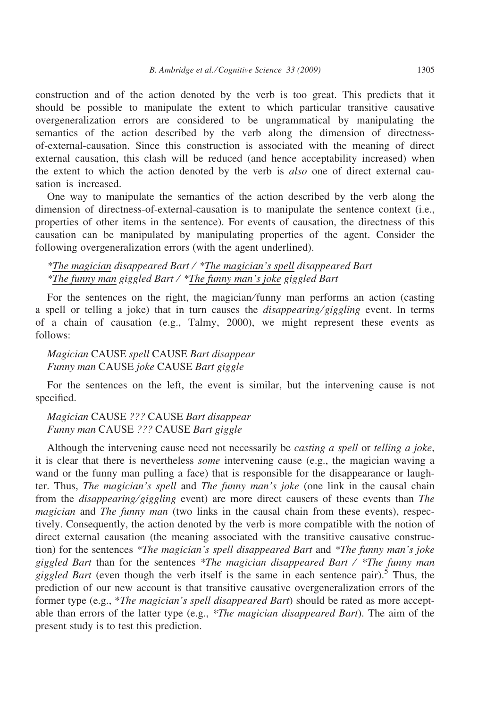construction and of the action denoted by the verb is too great. This predicts that it should be possible to manipulate the extent to which particular transitive causative overgeneralization errors are considered to be ungrammatical by manipulating the semantics of the action described by the verb along the dimension of directnessof-external-causation. Since this construction is associated with the meaning of direct external causation, this clash will be reduced (and hence acceptability increased) when the extent to which the action denoted by the verb is also one of direct external causation is increased.

One way to manipulate the semantics of the action described by the verb along the dimension of directness-of-external-causation is to manipulate the sentence context (i.e., properties of other items in the sentence). For events of causation, the directness of this causation can be manipulated by manipulating properties of the agent. Consider the following overgeneralization errors (with the agent underlined).

\*The magician disappeared Bart ⁄ \*The magician's spell disappeared Bart \*The funny man giggled Bart ⁄ \*The funny man's joke giggled Bart

For the sentences on the right, the magician */funny* man performs an action (casting a spell or telling a joke) that in turn causes the *disappearing/giggling* event. In terms of a chain of causation (e.g., Talmy, 2000), we might represent these events as follows:

Magician CAUSE spell CAUSE Bart disappear Funny man CAUSE joke CAUSE Bart giggle

For the sentences on the left, the event is similar, but the intervening cause is not specified.

# Magician CAUSE ??? CAUSE Bart disappear Funny man CAUSE ??? CAUSE Bart giggle

Although the intervening cause need not necessarily be casting a spell or telling a joke, it is clear that there is nevertheless some intervening cause (e.g., the magician waving a wand or the funny man pulling a face) that is responsible for the disappearance or laughter. Thus, The magician's spell and The funny man's joke (one link in the causal chain from the *disappearing/giggling* event) are more direct causers of these events than *The* magician and The funny man (two links in the causal chain from these events), respectively. Consequently, the action denoted by the verb is more compatible with the notion of direct external causation (the meaning associated with the transitive causative construction) for the sentences \*The magician's spell disappeared Bart and \*The funny man's joke giggled Bart than for the sentences \*The magician disappeared Bart / \*The funny man giggled Bart (even though the verb itself is the same in each sentence pair).<sup>5</sup> Thus, the prediction of our new account is that transitive causative overgeneralization errors of the former type (e.g., \*The magician's spell disappeared Bart) should be rated as more acceptable than errors of the latter type (e.g., \*The magician disappeared Bart). The aim of the present study is to test this prediction.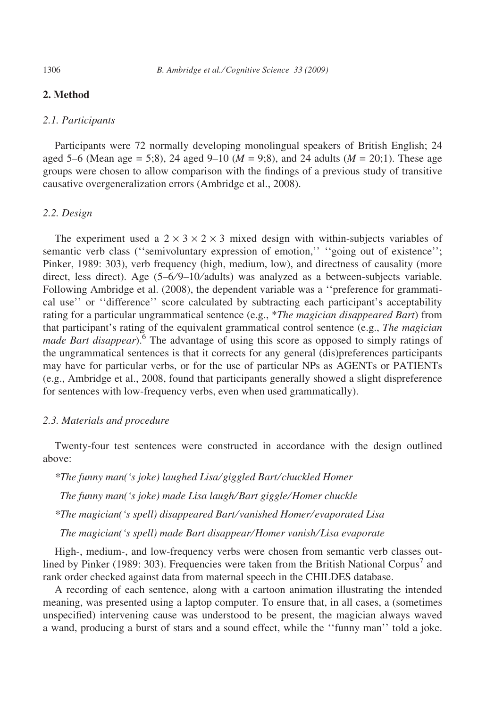# 2. Method

#### 2.1. Participants

Participants were 72 normally developing monolingual speakers of British English; 24 aged 5–6 (Mean age = 5;8), 24 aged 9–10 ( $M = 9;8$ ), and 24 adults ( $M = 20;1$ ). These age groups were chosen to allow comparison with the findings of a previous study of transitive causative overgeneralization errors (Ambridge et al., 2008).

#### 2.2. Design

The experiment used a  $2 \times 3 \times 2 \times 3$  mixed design with within-subjects variables of semantic verb class ("semivoluntary expression of emotion," "going out of existence"; Pinker, 1989: 303), verb frequency (high, medium, low), and directness of causality (more direct, less direct). Age (5–6/9–10/adults) was analyzed as a between-subjects variable. Following Ambridge et al. (2008), the dependent variable was a ''preference for grammatical use'' or ''difference'' score calculated by subtracting each participant's acceptability rating for a particular ungrammatical sentence (e.g., *\*The magician disappeared Bart*) from that participant's rating of the equivalent grammatical control sentence (e.g., The magician made Bart disappear).<sup>6</sup> The advantage of using this score as opposed to simply ratings of the ungrammatical sentences is that it corrects for any general (dis)preferences participants may have for particular verbs, or for the use of particular NPs as AGENTs or PATIENTs (e.g., Ambridge et al., 2008, found that participants generally showed a slight dispreference for sentences with low-frequency verbs, even when used grammatically).

# 2.3. Materials and procedure

Twenty-four test sentences were constructed in accordance with the design outlined above:

\*The funny man('s joke) laughed Lisa ⁄ giggled Bart⁄ chuckled Homer The funny man('s joke) made Lisa laugh ⁄Bart giggle ⁄Homer chuckle \*The magician('s spell) disappeared Bart⁄ vanished Homer⁄ evaporated Lisa

The magician('s spell) made Bart disappear⁄Homer vanish⁄Lisa evaporate

High-, medium-, and low-frequency verbs were chosen from semantic verb classes outlined by Pinker (1989: 303). Frequencies were taken from the British National Corpus<sup> $\prime$ </sup> and rank order checked against data from maternal speech in the CHILDES database.

A recording of each sentence, along with a cartoon animation illustrating the intended meaning, was presented using a laptop computer. To ensure that, in all cases, a (sometimes unspecified) intervening cause was understood to be present, the magician always waved a wand, producing a burst of stars and a sound effect, while the ''funny man'' told a joke.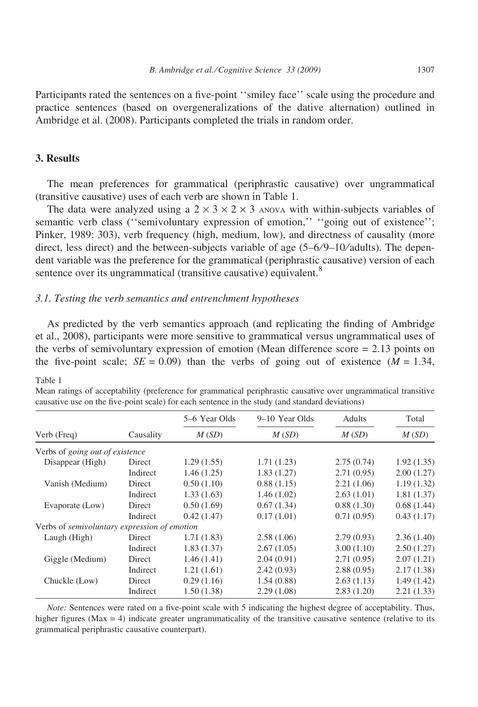Participants rated the sentences on a five-point ''smiley face'' scale using the procedure and practice sentences (based on overgeneralizations of the dative alternation) outlined in Ambridge et al. (2008). Participants completed the trials in random order.

# 3. Results

The mean preferences for grammatical (periphrastic causative) over ungrammatical (transitive causative) uses of each verb are shown in Table 1.

The data were analyzed using a  $2 \times 3 \times 2 \times 3$  anova with within-subjects variables of semantic verb class ("semivoluntary expression of emotion," "going out of existence"; Pinker, 1989: 303), verb frequency (high, medium, low), and directness of causality (more direct, less direct) and the between-subjects variable of age  $(5-6/9-10/adults)$ . The dependent variable was the preference for the grammatical (periphrastic causative) version of each sentence over its ungrammatical (transitive causative) equivalent.<sup>8</sup>

#### 3.1. Testing the verb semantics and entrenchment hypotheses

As predicted by the verb semantics approach (and replicating the finding of Ambridge et al., 2008), participants were more sensitive to grammatical versus ungrammatical uses of the verbs of semivoluntary expression of emotion (Mean difference score = 2.13 points on the five-point scale;  $SE = 0.09$ ) than the verbs of going out of existence  $(M = 1.34,$ 

Table 1

Mean ratings of acceptability (preference for grammatical periphrastic causative over ungrammatical transitive causative use on the five-point scale) for each sentence in the study (and standard deviations)

| Verb (Freq)                                         | Causality | 5–6 Year Olds<br>M(SD) | 9–10 Year Olds<br>M(SD) | Adults<br>M(SD) | Total<br>M(SD) |
|-----------------------------------------------------|-----------|------------------------|-------------------------|-----------------|----------------|
|                                                     |           |                        |                         |                 |                |
| Disappear (High)                                    | Direct    | 1.29(1.55)             | 1.71(1.23)              | 2.75(0.74)      | 1.92(1.35)     |
|                                                     | Indirect  | 1.46(1.25)             | 1.83(1.27)              | 2.71(0.95)      | 2.00(1.27)     |
| Vanish (Medium)                                     | Direct    | 0.50(1.10)             | 0.88(1.15)              | 2.21(1.06)      | 1.19(1.32)     |
|                                                     | Indirect  | 1.33(1.63)             | 1.46(1.02)              | 2.63(1.01)      | 1.81(1.37)     |
| Evaporate (Low)                                     | Direct    | 0.50(1.69)             | 0.67(1.34)              | 0.88(1.30)      | 0.68(1.44)     |
|                                                     | Indirect  | 0.42(1.47)             | 0.17(1.01)              | 0.71(0.95)      | 0.43(1.17)     |
| Verbs of <i>semivoluntary expression of emotion</i> |           |                        |                         |                 |                |
| Laugh (High)                                        | Direct    | 1.71(1.83)             | 2.58(1.06)              | 2.79(0.93)      | 2.36(1.40)     |
|                                                     | Indirect  | 1.83(1.37)             | 2.67(1.05)              | 3.00(1.10)      | 2.50(1.27)     |
| Giggle (Medium)                                     | Direct    | 1.46(1.41)             | 2.04(0.91)              | 2.71(0.95)      | 2.07(1.21)     |
|                                                     | Indirect  | 1.21(1.61)             | 2.42(0.93)              | 2.88(0.95)      | 2.17(1.38)     |
| Chuckle (Low)                                       | Direct    | 0.29(1.16)             | 1.54(0.88)              | 2.63(1.13)      | 1.49(1.42)     |
|                                                     | Indirect  | 1.50(1.38)             | 2.29(1.08)              | 2.83(1.20)      | 2.21(1.33)     |

Note: Sentences were rated on a five-point scale with 5 indicating the highest degree of acceptability. Thus, higher figures (Max  $= 4$ ) indicate greater ungrammaticality of the transitive causative sentence (relative to its grammatical periphrastic causative counterpart).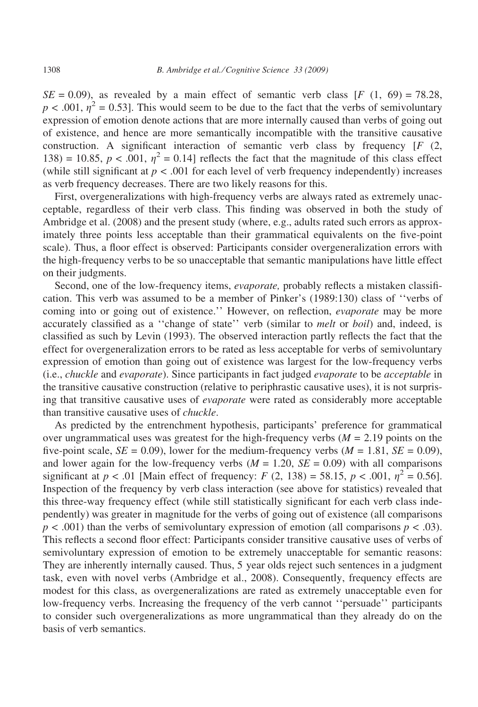$SE = 0.09$ ), as revealed by a main effect of semantic verb class  $[F (1, 69) = 78.28$ ,  $p < .001$ ,  $\eta^2 = 0.53$ . This would seem to be due to the fact that the verbs of semivoluntary expression of emotion denote actions that are more internally caused than verbs of going out of existence, and hence are more semantically incompatible with the transitive causative construction. A significant interaction of semantic verb class by frequency  $[F (2, 1)]$ 138) = 10.85,  $p < .001$ ,  $\eta^2 = 0.14$ ] reflects the fact that the magnitude of this class effect (while still significant at  $p < .001$  for each level of verb frequency independently) increases as verb frequency decreases. There are two likely reasons for this.

First, overgeneralizations with high-frequency verbs are always rated as extremely unacceptable, regardless of their verb class. This finding was observed in both the study of Ambridge et al. (2008) and the present study (where, e.g., adults rated such errors as approximately three points less acceptable than their grammatical equivalents on the five-point scale). Thus, a floor effect is observed: Participants consider overgeneralization errors with the high-frequency verbs to be so unacceptable that semantic manipulations have little effect on their judgments.

Second, one of the low-frequency items, evaporate, probably reflects a mistaken classification. This verb was assumed to be a member of Pinker's (1989:130) class of ''verbs of coming into or going out of existence." However, on reflection, *evaporate* may be more accurately classified as a "change of state" verb (similar to *melt* or *boil*) and, indeed, is classified as such by Levin (1993). The observed interaction partly reflects the fact that the effect for overgeneralization errors to be rated as less acceptable for verbs of semivoluntary expression of emotion than going out of existence was largest for the low-frequency verbs (i.e., chuckle and evaporate). Since participants in fact judged evaporate to be acceptable in the transitive causative construction (relative to periphrastic causative uses), it is not surprising that transitive causative uses of *evaporate* were rated as considerably more acceptable than transitive causative uses of chuckle.

As predicted by the entrenchment hypothesis, participants' preference for grammatical over ungrammatical uses was greatest for the high-frequency verbs  $(M = 2.19$  points on the five-point scale,  $SE = 0.09$ ), lower for the medium-frequency verbs  $(M = 1.81, SE = 0.09)$ , and lower again for the low-frequency verbs ( $M = 1.20$ ,  $SE = 0.09$ ) with all comparisons significant at  $p < .01$  [Main effect of frequency: F (2, 138) = 58.15,  $p < .001$ ,  $\eta^2 = 0.56$ ]. Inspection of the frequency by verb class interaction (see above for statistics) revealed that this three-way frequency effect (while still statistically significant for each verb class independently) was greater in magnitude for the verbs of going out of existence (all comparisons  $p < .001$ ) than the verbs of semivoluntary expression of emotion (all comparisons  $p < .03$ ). This reflects a second floor effect: Participants consider transitive causative uses of verbs of semivoluntary expression of emotion to be extremely unacceptable for semantic reasons: They are inherently internally caused. Thus, 5 year olds reject such sentences in a judgment task, even with novel verbs (Ambridge et al., 2008). Consequently, frequency effects are modest for this class, as overgeneralizations are rated as extremely unacceptable even for low-frequency verbs. Increasing the frequency of the verb cannot ''persuade'' participants to consider such overgeneralizations as more ungrammatical than they already do on the basis of verb semantics.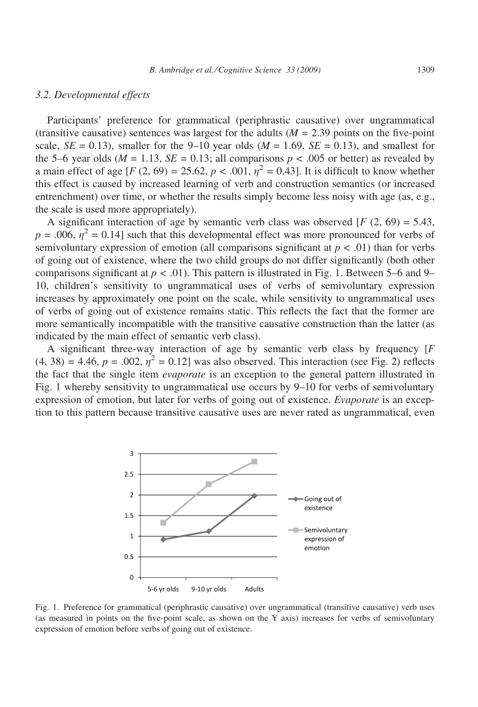#### 3.2. Developmental effects

Participants' preference for grammatical (periphrastic causative) over ungrammatical (transitive causative) sentences was largest for the adults  $(M = 2.39)$  points on the five-point scale,  $SE = 0.13$ ), smaller for the 9–10 year olds ( $M = 1.69$ ,  $SE = 0.13$ ), and smallest for the 5–6 year olds ( $M = 1.13$ ,  $SE = 0.13$ ; all comparisons  $p < .005$  or better) as revealed by a main effect of age  $[F (2, 69) = 25.62, p < .001, \eta^2 = 0.43]$ . It is difficult to know whether this effect is caused by increased learning of verb and construction semantics (or increased entrenchment) over time, or whether the results simply become less noisy with age (as, e.g., the scale is used more appropriately).

A significant interaction of age by semantic verb class was observed [ $F(2, 69) = 5.43$ ,  $p = .006$ ,  $\eta^2 = 0.14$ ] such that this developmental effect was more pronounced for verbs of semivoluntary expression of emotion (all comparisons significant at  $p < .01$ ) than for verbs of going out of existence, where the two child groups do not differ significantly (both other comparisons significant at  $p < .01$ ). This pattern is illustrated in Fig. 1. Between 5–6 and 9– 10, children's sensitivity to ungrammatical uses of verbs of semivoluntary expression increases by approximately one point on the scale, while sensitivity to ungrammatical uses of verbs of going out of existence remains static. This reflects the fact that the former are more semantically incompatible with the transitive causative construction than the latter (as indicated by the main effect of semantic verb class).

A significant three-way interaction of age by semantic verb class by frequency [F  $(4, 38) = 4.46$ ,  $p = .002$ ,  $\eta^2 = 0.12$ ] was also observed. This interaction (see Fig. 2) reflects the fact that the single item evaporate is an exception to the general pattern illustrated in Fig. 1 whereby sensitivity to ungrammatical use occurs by 9–10 for verbs of semivoluntary expression of emotion, but later for verbs of going out of existence. Evaporate is an exception to this pattern because transitive causative uses are never rated as ungrammatical, even



Fig. 1. Preference for grammatical (periphrastic causative) over ungrammatical (transitive causative) verb uses (as measured in points on the five-point scale, as shown on the Y axis) increases for verbs of semivoluntary expression of emotion before verbs of going out of existence.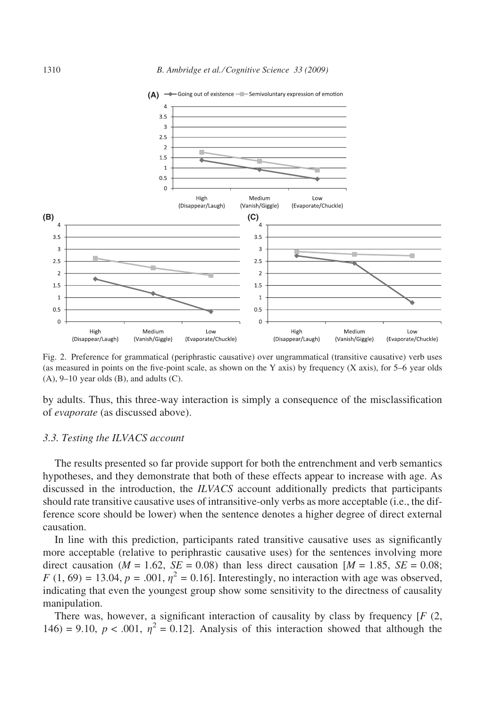

Fig. 2. Preference for grammatical (periphrastic causative) over ungrammatical (transitive causative) verb uses (as measured in points on the five-point scale, as shown on the Y axis) by frequency  $(X \text{ axis})$ , for 5–6 year olds  $(A)$ , 9–10 year olds  $(B)$ , and adults  $(C)$ .

by adults. Thus, this three-way interaction is simply a consequence of the misclassification of evaporate (as discussed above).

#### 3.3. Testing the ILVACS account

The results presented so far provide support for both the entrenchment and verb semantics hypotheses, and they demonstrate that both of these effects appear to increase with age. As discussed in the introduction, the ILVACS account additionally predicts that participants should rate transitive causative uses of intransitive-only verbs as more acceptable (i.e., the difference score should be lower) when the sentence denotes a higher degree of direct external causation.

In line with this prediction, participants rated transitive causative uses as significantly more acceptable (relative to periphrastic causative uses) for the sentences involving more direct causation ( $M = 1.62$ ,  $SE = 0.08$ ) than less direct causation [ $M = 1.85$ ,  $SE = 0.08$ ;  $F(1, 69) = 13.04$ ,  $p = .001$ ,  $\eta^2 = 0.16$ . Interestingly, no interaction with age was observed, indicating that even the youngest group show some sensitivity to the directness of causality manipulation.

There was, however, a significant interaction of causality by class by frequency  $[F (2, 1)]$ 146) = 9.10,  $p < .001$ ,  $\eta^2 = 0.12$ . Analysis of this interaction showed that although the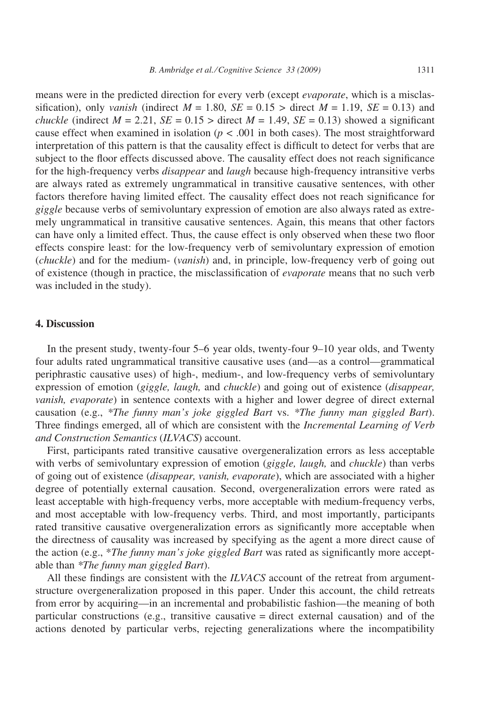means were in the predicted direction for every verb (except *evaporate*, which is a misclassification), only vanish (indirect  $M = 1.80$ ,  $SE = 0.15 >$  direct  $M = 1.19$ ,  $SE = 0.13$ ) and *chuckle* (indirect  $M = 2.21$ ,  $SE = 0.15 >$  direct  $M = 1.49$ ,  $SE = 0.13$ ) showed a significant cause effect when examined in isolation ( $p < .001$  in both cases). The most straightforward interpretation of this pattern is that the causality effect is difficult to detect for verbs that are subject to the floor effects discussed above. The causality effect does not reach significance for the high-frequency verbs disappear and laugh because high-frequency intransitive verbs are always rated as extremely ungrammatical in transitive causative sentences, with other factors therefore having limited effect. The causality effect does not reach significance for giggle because verbs of semivoluntary expression of emotion are also always rated as extremely ungrammatical in transitive causative sentences. Again, this means that other factors can have only a limited effect. Thus, the cause effect is only observed when these two floor effects conspire least: for the low-frequency verb of semivoluntary expression of emotion (chuckle) and for the medium- (vanish) and, in principle, low-frequency verb of going out of existence (though in practice, the misclassification of evaporate means that no such verb was included in the study).

# 4. Discussion

In the present study, twenty-four 5–6 year olds, twenty-four 9–10 year olds, and Twenty four adults rated ungrammatical transitive causative uses (and—as a control—grammatical periphrastic causative uses) of high-, medium-, and low-frequency verbs of semivoluntary expression of emotion (giggle, laugh, and chuckle) and going out of existence (disappear, vanish, evaporate) in sentence contexts with a higher and lower degree of direct external causation (e.g., \*The funny man's joke giggled Bart vs. \*The funny man giggled Bart). Three findings emerged, all of which are consistent with the Incremental Learning of Verb and Construction Semantics (ILVACS) account.

First, participants rated transitive causative overgeneralization errors as less acceptable with verbs of semivoluntary expression of emotion (giggle, laugh, and chuckle) than verbs of going out of existence (disappear, vanish, evaporate), which are associated with a higher degree of potentially external causation. Second, overgeneralization errors were rated as least acceptable with high-frequency verbs, more acceptable with medium-frequency verbs, and most acceptable with low-frequency verbs. Third, and most importantly, participants rated transitive causative overgeneralization errors as significantly more acceptable when the directness of causality was increased by specifying as the agent a more direct cause of the action (e.g.,  $*The funny man's joke gigled Bart was rated as significantly more accept$ able than \*The funny man giggled Bart).

All these findings are consistent with the *ILVACS* account of the retreat from argumentstructure overgeneralization proposed in this paper. Under this account, the child retreats from error by acquiring—in an incremental and probabilistic fashion—the meaning of both particular constructions (e.g., transitive causative  $=$  direct external causation) and of the actions denoted by particular verbs, rejecting generalizations where the incompatibility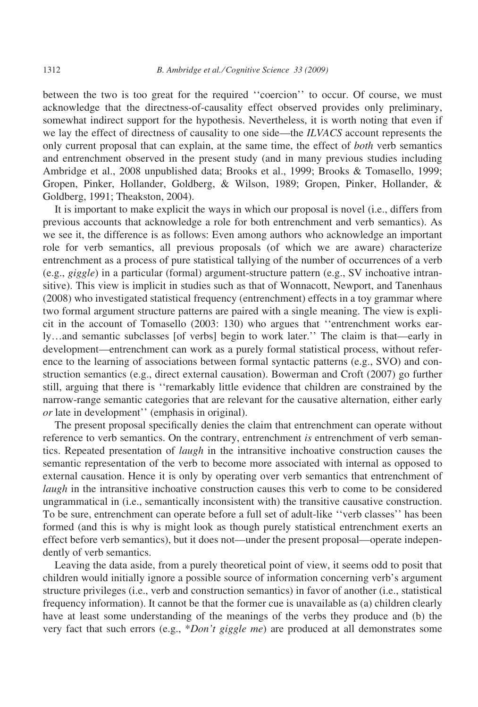between the two is too great for the required ''coercion'' to occur. Of course, we must acknowledge that the directness-of-causality effect observed provides only preliminary, somewhat indirect support for the hypothesis. Nevertheless, it is worth noting that even if we lay the effect of directness of causality to one side—the ILVACS account represents the only current proposal that can explain, at the same time, the effect of both verb semantics and entrenchment observed in the present study (and in many previous studies including Ambridge et al., 2008 unpublished data; Brooks et al., 1999; Brooks & Tomasello, 1999; Gropen, Pinker, Hollander, Goldberg, & Wilson, 1989; Gropen, Pinker, Hollander, & Goldberg, 1991; Theakston, 2004).

It is important to make explicit the ways in which our proposal is novel (i.e., differs from previous accounts that acknowledge a role for both entrenchment and verb semantics). As we see it, the difference is as follows: Even among authors who acknowledge an important role for verb semantics, all previous proposals (of which we are aware) characterize entrenchment as a process of pure statistical tallying of the number of occurrences of a verb  $(e.g., gigle)$  in a particular (formal) argument-structure pattern  $(e.g., SV)$  inchoative intransitive). This view is implicit in studies such as that of Wonnacott, Newport, and Tanenhaus (2008) who investigated statistical frequency (entrenchment) effects in a toy grammar where two formal argument structure patterns are paired with a single meaning. The view is explicit in the account of Tomasello (2003: 130) who argues that ''entrenchment works early…and semantic subclasses [of verbs] begin to work later.'' The claim is that—early in development—entrenchment can work as a purely formal statistical process, without reference to the learning of associations between formal syntactic patterns (e.g., SVO) and construction semantics (e.g., direct external causation). Bowerman and Croft (2007) go further still, arguing that there is ''remarkably little evidence that children are constrained by the narrow-range semantic categories that are relevant for the causative alternation, either early or late in development'' (emphasis in original).

The present proposal specifically denies the claim that entrenchment can operate without reference to verb semantics. On the contrary, entrenchment is entrenchment of verb semantics. Repeated presentation of laugh in the intransitive inchoative construction causes the semantic representation of the verb to become more associated with internal as opposed to external causation. Hence it is only by operating over verb semantics that entrenchment of laugh in the intransitive inchoative construction causes this verb to come to be considered ungrammatical in (i.e., semantically inconsistent with) the transitive causative construction. To be sure, entrenchment can operate before a full set of adult-like ''verb classes'' has been formed (and this is why is might look as though purely statistical entrenchment exerts an effect before verb semantics), but it does not—under the present proposal—operate independently of verb semantics.

Leaving the data aside, from a purely theoretical point of view, it seems odd to posit that children would initially ignore a possible source of information concerning verb's argument structure privileges (i.e., verb and construction semantics) in favor of another (i.e., statistical frequency information). It cannot be that the former cue is unavailable as (a) children clearly have at least some understanding of the meanings of the verbs they produce and (b) the very fact that such errors (e.g.,  $*Don't giggle me$ ) are produced at all demonstrates some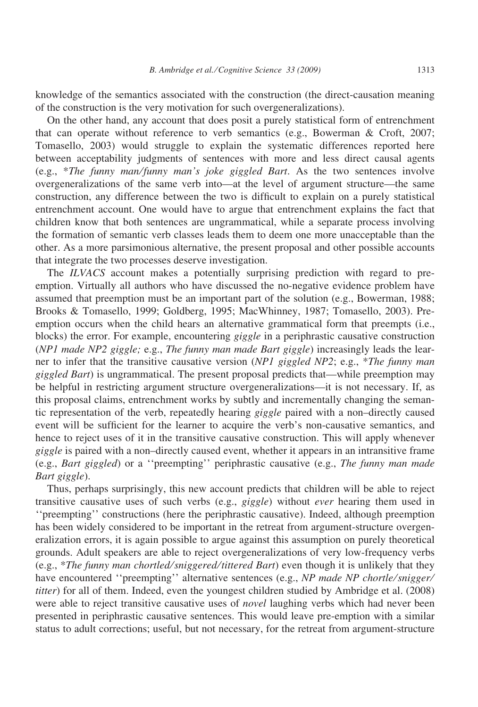knowledge of the semantics associated with the construction (the direct-causation meaning of the construction is the very motivation for such overgeneralizations).

On the other hand, any account that does posit a purely statistical form of entrenchment that can operate without reference to verb semantics (e.g., Bowerman & Croft, 2007; Tomasello, 2003) would struggle to explain the systematic differences reported here between acceptability judgments of sentences with more and less direct causal agents (e.g.,  $*$ The funny man/funny man's joke giggled Bart. As the two sentences involve overgeneralizations of the same verb into—at the level of argument structure—the same construction, any difference between the two is difficult to explain on a purely statistical entrenchment account. One would have to argue that entrenchment explains the fact that children know that both sentences are ungrammatical, while a separate process involving the formation of semantic verb classes leads them to deem one more unacceptable than the other. As a more parsimonious alternative, the present proposal and other possible accounts that integrate the two processes deserve investigation.

The ILVACS account makes a potentially surprising prediction with regard to preemption. Virtually all authors who have discussed the no-negative evidence problem have assumed that preemption must be an important part of the solution (e.g., Bowerman, 1988; Brooks & Tomasello, 1999; Goldberg, 1995; MacWhinney, 1987; Tomasello, 2003). Preemption occurs when the child hears an alternative grammatical form that preempts (i.e., blocks) the error. For example, encountering *giggle* in a periphrastic causative construction  $(NP1$  made NP2 giggle; e.g., The funny man made Bart giggle) increasingly leads the learner to infer that the transitive causative version (NP1 giggled NP2; e.g., \*The funny man giggled Bart) is ungrammatical. The present proposal predicts that—while preemption may be helpful in restricting argument structure overgeneralizations—it is not necessary. If, as this proposal claims, entrenchment works by subtly and incrementally changing the semantic representation of the verb, repeatedly hearing giggle paired with a non–directly caused event will be sufficient for the learner to acquire the verb's non-causative semantics, and hence to reject uses of it in the transitive causative construction. This will apply whenever giggle is paired with a non–directly caused event, whether it appears in an intransitive frame (e.g., Bart giggled) or a ''preempting'' periphrastic causative (e.g., The funny man made Bart giggle).

Thus, perhaps surprisingly, this new account predicts that children will be able to reject transitive causative uses of such verbs (e.g., giggle) without ever hearing them used in ''preempting'' constructions (here the periphrastic causative). Indeed, although preemption has been widely considered to be important in the retreat from argument-structure overgeneralization errors, it is again possible to argue against this assumption on purely theoretical grounds. Adult speakers are able to reject overgeneralizations of very low-frequency verbs (e.g., \*The funny man chortled⁄sniggered ⁄tittered Bart) even though it is unlikely that they have encountered "preempting" alternative sentences (e.g., NP made NP chortle/snigger/ titter) for all of them. Indeed, even the youngest children studied by Ambridge et al. (2008) were able to reject transitive causative uses of *novel* laughing verbs which had never been presented in periphrastic causative sentences. This would leave pre-emption with a similar status to adult corrections; useful, but not necessary, for the retreat from argument-structure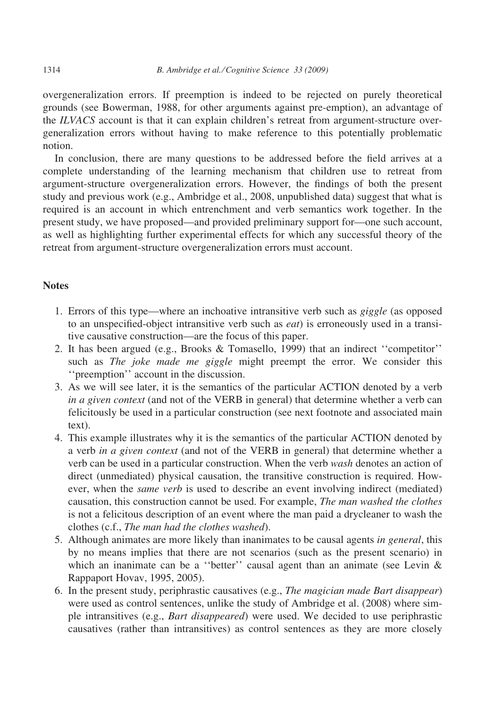overgeneralization errors. If preemption is indeed to be rejected on purely theoretical grounds (see Bowerman, 1988, for other arguments against pre-emption), an advantage of the ILVACS account is that it can explain children's retreat from argument-structure overgeneralization errors without having to make reference to this potentially problematic notion.

In conclusion, there are many questions to be addressed before the field arrives at a complete understanding of the learning mechanism that children use to retreat from argument-structure overgeneralization errors. However, the findings of both the present study and previous work (e.g., Ambridge et al., 2008, unpublished data) suggest that what is required is an account in which entrenchment and verb semantics work together. In the present study, we have proposed—and provided preliminary support for—one such account, as well as highlighting further experimental effects for which any successful theory of the retreat from argument-structure overgeneralization errors must account.

# **Notes**

- 1. Errors of this type—where an inchoative intransitive verb such as *giggle* (as opposed to an unspecified-object intransitive verb such as *eat*) is erroneously used in a transitive causative construction—are the focus of this paper.
- 2. It has been argued (e.g., Brooks & Tomasello, 1999) that an indirect ''competitor'' such as *The joke made me giggle* might preempt the error. We consider this ''preemption'' account in the discussion.
- 3. As we will see later, it is the semantics of the particular ACTION denoted by a verb in a given context (and not of the VERB in general) that determine whether a verb can felicitously be used in a particular construction (see next footnote and associated main text).
- 4. This example illustrates why it is the semantics of the particular ACTION denoted by a verb in a given context (and not of the VERB in general) that determine whether a verb can be used in a particular construction. When the verb wash denotes an action of direct (unmediated) physical causation, the transitive construction is required. However, when the *same verb* is used to describe an event involving indirect (mediated) causation, this construction cannot be used. For example, The man washed the clothes is not a felicitous description of an event where the man paid a drycleaner to wash the clothes (c.f., The man had the clothes washed).
- 5. Although animates are more likely than inanimates to be causal agents in general, this by no means implies that there are not scenarios (such as the present scenario) in which an inanimate can be a "better" causal agent than an animate (see Levin  $\&$ Rappaport Hovav, 1995, 2005).
- 6. In the present study, periphrastic causatives (e.g., The magician made Bart disappear) were used as control sentences, unlike the study of Ambridge et al. (2008) where simple intransitives (e.g., Bart disappeared) were used. We decided to use periphrastic causatives (rather than intransitives) as control sentences as they are more closely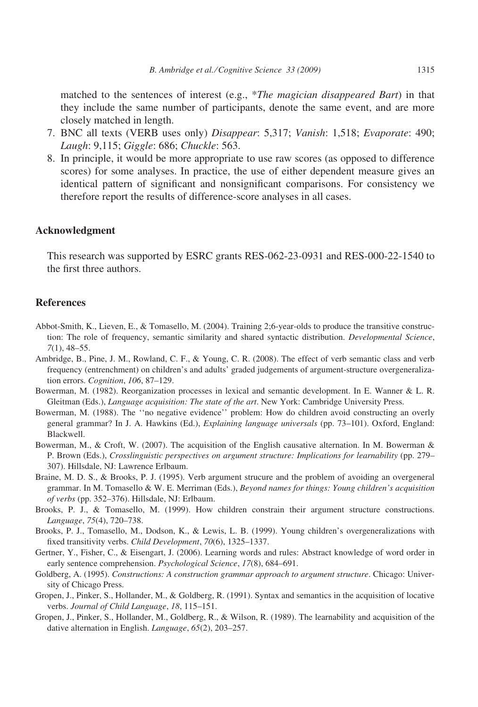matched to the sentences of interest (e.g.,  $*The$  magician disappeared Bart) in that they include the same number of participants, denote the same event, and are more closely matched in length.

- 7. BNC all texts (VERB uses only) Disappear: 5,317; Vanish: 1,518; Evaporate: 490; Laugh: 9,115; Giggle: 686; Chuckle: 563.
- 8. In principle, it would be more appropriate to use raw scores (as opposed to difference scores) for some analyses. In practice, the use of either dependent measure gives an identical pattern of significant and nonsignificant comparisons. For consistency we therefore report the results of difference-score analyses in all cases.

#### Acknowledgment

This research was supported by ESRC grants RES-062-23-0931 and RES-000-22-1540 to the first three authors.

# References

- Abbot-Smith, K., Lieven, E., & Tomasello, M. (2004). Training 2;6-year-olds to produce the transitive construction: The role of frequency, semantic similarity and shared syntactic distribution. *Developmental Science*, 7(1), 48–55.
- Ambridge, B., Pine, J. M., Rowland, C. F., & Young, C. R. (2008). The effect of verb semantic class and verb frequency (entrenchment) on children's and adults' graded judgements of argument-structure overgeneralization errors. Cognition, 106, 87–129.
- Bowerman, M. (1982). Reorganization processes in lexical and semantic development. In E. Wanner & L. R. Gleitman (Eds.), Language acquisition: The state of the art. New York: Cambridge University Press.
- Bowerman, M. (1988). The ''no negative evidence'' problem: How do children avoid constructing an overly general grammar? In J. A. Hawkins (Ed.), Explaining language universals (pp. 73–101). Oxford, England: Blackwell.
- Bowerman, M., & Croft, W. (2007). The acquisition of the English causative alternation. In M. Bowerman & P. Brown (Eds.), Crosslinguistic perspectives on argument structure: Implications for learnability (pp. 279– 307). Hillsdale, NJ: Lawrence Erlbaum.
- Braine, M. D. S., & Brooks, P. J. (1995). Verb argument strucure and the problem of avoiding an overgeneral grammar. In M. Tomasello & W. E. Merriman (Eds.), Beyond names for things: Young children's acquisition of verbs (pp. 352–376). Hillsdale, NJ: Erlbaum.
- Brooks, P. J., & Tomasello, M. (1999). How children constrain their argument structure constructions. Language, 75(4), 720–738.
- Brooks, P. J., Tomasello, M., Dodson, K., & Lewis, L. B. (1999). Young children's overgeneralizations with fixed transitivity verbs. Child Development, 70(6), 1325–1337.
- Gertner, Y., Fisher, C., & Eisengart, J. (2006). Learning words and rules: Abstract knowledge of word order in early sentence comprehension. Psychological Science, 17(8), 684–691.
- Goldberg, A. (1995). Constructions: A construction grammar approach to argument structure. Chicago: University of Chicago Press.
- Gropen, J., Pinker, S., Hollander, M., & Goldberg, R. (1991). Syntax and semantics in the acquisition of locative verbs. Journal of Child Language, 18, 115–151.
- Gropen, J., Pinker, S., Hollander, M., Goldberg, R., & Wilson, R. (1989). The learnability and acquisition of the dative alternation in English. Language, 65(2), 203–257.